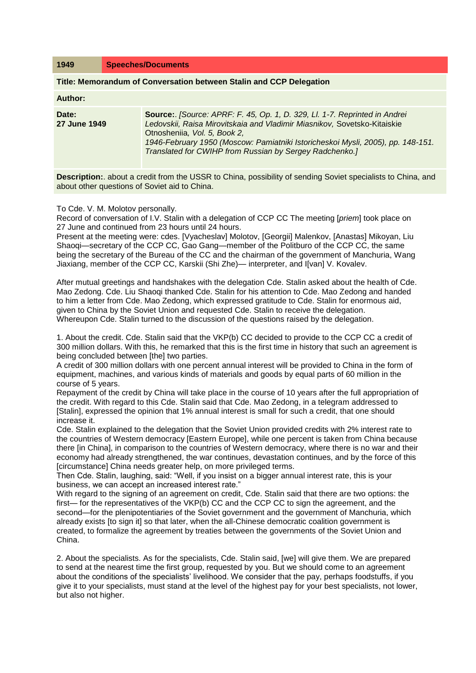| 1949                                                                | <b>Speeches/Documents</b>                                                                                                                                                                                                                                                                                                           |  |  |
|---------------------------------------------------------------------|-------------------------------------------------------------------------------------------------------------------------------------------------------------------------------------------------------------------------------------------------------------------------------------------------------------------------------------|--|--|
| Title: Memorandum of Conversation between Stalin and CCP Delegation |                                                                                                                                                                                                                                                                                                                                     |  |  |
| Author:                                                             |                                                                                                                                                                                                                                                                                                                                     |  |  |
| Date:<br>27 June 1949                                               | Source: [Source: APRF: F. 45, Op. 1, D. 329, Ll. 1-7. Reprinted in Andrei<br>Ledovskii, Raisa Mirovitskaia and Vladimir Miasnikov, Sovetsko-Kitaiskie<br>Otnosheniia, Vol. 5, Book 2,<br>1946-February 1950 (Moscow: Pamiatniki Istoricheskoi Mysli, 2005), pp. 148-151.<br>Translated for CWIHP from Russian by Sergey Radchenko.] |  |  |

**Description:**. about a credit from the USSR to China, possibility of sending Soviet specialists to China, and about other questions of Soviet aid to China.

## To Cde. V. M. Molotov personally.

Record of conversation of I.V. Stalin with a delegation of CCP CC The meeting [*priem*] took place on 27 June and continued from 23 hours until 24 hours.

Present at the meeting were: cdes. [Vyacheslav] Molotov, [Georgii] Malenkov, [Anastas] Mikoyan, Liu Shaoqi—secretary of the CCP CC, Gao Gang—member of the Politburo of the CCP CC, the same being the secretary of the Bureau of the CC and the chairman of the government of Manchuria, Wang Jiaxiang, member of the CCP CC, Karskii (Shi Zhe)— interpreter, and I[van] V. Kovalev.

After mutual greetings and handshakes with the delegation Cde. Stalin asked about the health of Cde. Mao Zedong. Cde. Liu Shaoqi thanked Cde. Stalin for his attention to Cde. Mao Zedong and handed to him a letter from Cde. Mao Zedong, which expressed gratitude to Cde. Stalin for enormous aid, given to China by the Soviet Union and requested Cde. Stalin to receive the delegation. Whereupon Cde. Stalin turned to the discussion of the questions raised by the delegation.

1. About the credit. Cde. Stalin said that the VKP(b) CC decided to provide to the CCP CC a credit of 300 million dollars. With this, he remarked that this is the first time in history that such an agreement is being concluded between [the] two parties.

A credit of 300 million dollars with one percent annual interest will be provided to China in the form of equipment, machines, and various kinds of materials and goods by equal parts of 60 million in the course of 5 years.

Repayment of the credit by China will take place in the course of 10 years after the full appropriation of the credit. With regard to this Cde. Stalin said that Cde. Mao Zedong, in a telegram addressed to [Stalin], expressed the opinion that 1% annual interest is small for such a credit, that one should increase it.

Cde. Stalin explained to the delegation that the Soviet Union provided credits with 2% interest rate to the countries of Western democracy [Eastern Europe], while one percent is taken from China because there [in China], in comparison to the countries of Western democracy, where there is no war and their economy had already strengthened, the war continues, devastation continues, and by the force of this [circumstance] China needs greater help, on more privileged terms.

Then Cde. Stalin, laughing, said: "Well, if you insist on a bigger annual interest rate, this is your business, we can accept an increased interest rate."

With regard to the signing of an agreement on credit, Cde. Stalin said that there are two options: the first— for the representatives of the VKP(b) CC and the CCP CC to sign the agreement, and the second—for the plenipotentiaries of the Soviet government and the government of Manchuria, which already exists [to sign it] so that later, when the all-Chinese democratic coalition government is created, to formalize the agreement by treaties between the governments of the Soviet Union and China.

2. About the specialists. As for the specialists, Cde. Stalin said, [we] will give them. We are prepared to send at the nearest time the first group, requested by you. But we should come to an agreement about the conditions of the specialists' livelihood. We consider that the pay, perhaps foodstuffs, if you give it to your specialists, must stand at the level of the highest pay for your best specialists, not lower, but also not higher.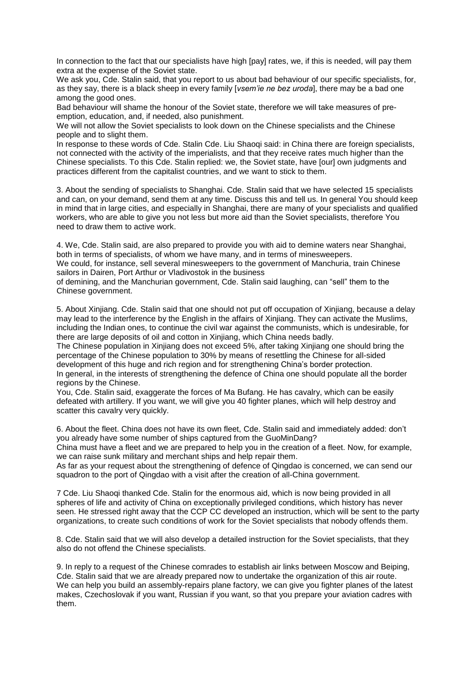In connection to the fact that our specialists have high [pay] rates, we, if this is needed, will pay them extra at the expense of the Soviet state.

We ask you, Cde. Stalin said, that you report to us about bad behaviour of our specific specialists, for, as they say, there is a black sheep in every family [*vsem'ie ne bez uroda*], there may be a bad one among the good ones.

Bad behaviour will shame the honour of the Soviet state, therefore we will take measures of preemption, education, and, if needed, also punishment.

We will not allow the Soviet specialists to look down on the Chinese specialists and the Chinese people and to slight them.

In response to these words of Cde. Stalin Cde. Liu Shaoqi said: in China there are foreign specialists, not connected with the activity of the imperialists, and that they receive rates much higher than the Chinese specialists. To this Cde. Stalin replied: we, the Soviet state, have [our] own judgments and practices different from the capitalist countries, and we want to stick to them.

3. About the sending of specialists to Shanghai. Cde. Stalin said that we have selected 15 specialists and can, on your demand, send them at any time. Discuss this and tell us. In general You should keep in mind that in large cities, and especially in Shanghai, there are many of your specialists and qualified workers, who are able to give you not less but more aid than the Soviet specialists, therefore You need to draw them to active work.

4. We, Cde. Stalin said, are also prepared to provide you with aid to demine waters near Shanghai, both in terms of specialists, of whom we have many, and in terms of minesweepers.

We could, for instance, sell several minesweepers to the government of Manchuria, train Chinese sailors in Dairen, Port Arthur or Vladivostok in the business

of demining, and the Manchurian government, Cde. Stalin said laughing, can "sell" them to the Chinese government.

5. About Xinjiang. Cde. Stalin said that one should not put off occupation of Xinjiang, because a delay may lead to the interference by the English in the affairs of Xinjiang. They can activate the Muslims, including the Indian ones, to continue the civil war against the communists, which is undesirable, for there are large deposits of oil and cotton in Xinjiang, which China needs badly.

The Chinese population in Xinjiang does not exceed 5%, after taking Xinjiang one should bring the percentage of the Chinese population to 30% by means of resettling the Chinese for all-sided development of this huge and rich region and for strengthening China's border protection. In general, in the interests of strengthening the defence of China one should populate all the border regions by the Chinese.

You, Cde. Stalin said, exaggerate the forces of Ma Bufang. He has cavalry, which can be easily defeated with artillery. If you want, we will give you 40 fighter planes, which will help destroy and scatter this cavalry very quickly.

6. About the fleet. China does not have its own fleet, Cde. Stalin said and immediately added: don't you already have some number of ships captured from the GuoMinDang?

China must have a fleet and we are prepared to help you in the creation of a fleet. Now, for example, we can raise sunk military and merchant ships and help repair them.

As far as your request about the strengthening of defence of Qingdao is concerned, we can send our squadron to the port of Qingdao with a visit after the creation of all-China government.

7 Cde. Liu Shaoqi thanked Cde. Stalin for the enormous aid, which is now being provided in all spheres of life and activity of China on exceptionally privileged conditions, which history has never seen. He stressed right away that the CCP CC developed an instruction, which will be sent to the party organizations, to create such conditions of work for the Soviet specialists that nobody offends them.

8. Cde. Stalin said that we will also develop a detailed instruction for the Soviet specialists, that they also do not offend the Chinese specialists.

9. In reply to a request of the Chinese comrades to establish air links between Moscow and Beiping, Cde. Stalin said that we are already prepared now to undertake the organization of this air route. We can help you build an assembly-repairs plane factory, we can give you fighter planes of the latest makes, Czechoslovak if you want, Russian if you want, so that you prepare your aviation cadres with them.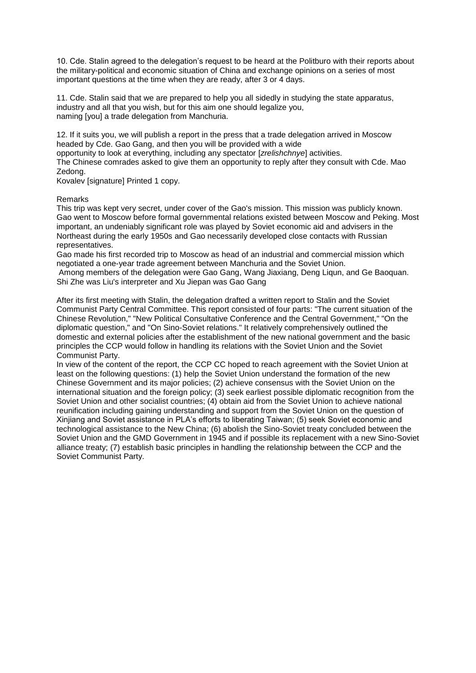10. Cde. Stalin agreed to the delegation's request to be heard at the Politburo with their reports about the military-political and economic situation of China and exchange opinions on a series of most important questions at the time when they are ready, after 3 or 4 days.

11. Cde. Stalin said that we are prepared to help you all sidedly in studying the state apparatus, industry and all that you wish, but for this aim one should legalize you, naming [you] a trade delegation from Manchuria.

12. If it suits you, we will publish a report in the press that a trade delegation arrived in Moscow headed by Cde. Gao Gang, and then you will be provided with a wide

opportunity to look at everything, including any spectator [*zrelishchnye*] activities.

The Chinese comrades asked to give them an opportunity to reply after they consult with Cde. Mao Zedong.

Kovalev [signature] Printed 1 copy.

## Remarks

This trip was kept very secret, under cover of the Gao's mission. This mission was publicly known. Gao went to Moscow before formal governmental relations existed between Moscow and Peking. Most important, an undeniably significant role was played by Soviet economic aid and advisers in the Northeast during the early 1950s and Gao necessarily developed close contacts with Russian representatives.

Gao made his first recorded trip to Moscow as head of an industrial and commercial mission which negotiated a one-year trade agreement between Manchuria and the Soviet Union.

Among members of the delegation were Gao Gang, Wang Jiaxiang, Deng Liqun, and Ge Baoquan. Shi Zhe was Liu's interpreter and Xu Jiepan was Gao Gang

After its first meeting with Stalin, the delegation drafted a written report to Stalin and the Soviet Communist Party Central Committee. This report consisted of four parts: "The current situation of the Chinese Revolution," "New Political Consultative Conference and the Central Government," "On the diplomatic question," and "On Sino-Soviet relations." It relatively comprehensively outlined the domestic and external policies after the establishment of the new national government and the basic principles the CCP would follow in handling its relations with the Soviet Union and the Soviet Communist Party.

In view of the content of the report, the CCP CC hoped to reach agreement with the Soviet Union at least on the following questions: (1) help the Soviet Union understand the formation of the new Chinese Government and its major policies; (2) achieve consensus with the Soviet Union on the international situation and the foreign policy; (3) seek earliest possible diplomatic recognition from the Soviet Union and other socialist countries; (4) obtain aid from the Soviet Union to achieve national reunification including gaining understanding and support from the Soviet Union on the question of Xinjiang and Soviet assistance in PLA's efforts to liberating Taiwan; (5) seek Soviet economic and technological assistance to the New China; (6) abolish the Sino-Soviet treaty concluded between the Soviet Union and the GMD Government in 1945 and if possible its replacement with a new Sino-Soviet alliance treaty; (7) establish basic principles in handling the relationship between the CCP and the Soviet Communist Party.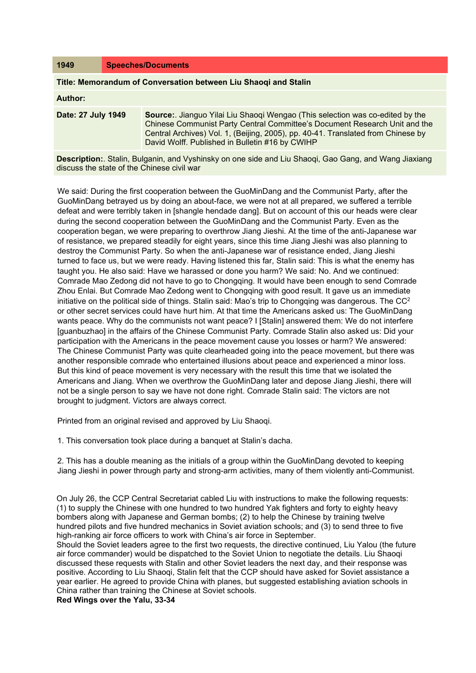| 1949 | <b>Speeches/Documents</b> |
|------|---------------------------|
|------|---------------------------|

## **Title: Memorandum of Conversation between Liu Shaoqi and Stalin**

## **Author:**

| Date: 27 July 1949 | <b>Source:.</b> Jianguo Yilai Liu Shaogi Wengao (This selection was co-edited by the<br>Chinese Communist Party Central Committee's Document Research Unit and the<br>Central Archives) Vol. 1, (Beijing, 2005), pp. 40-41. Translated from Chinese by<br>David Wolff. Published in Bulletin #16 by CWIHP |
|--------------------|-----------------------------------------------------------------------------------------------------------------------------------------------------------------------------------------------------------------------------------------------------------------------------------------------------------|
|                    |                                                                                                                                                                                                                                                                                                           |

**Description:**. Stalin, Bulganin, and Vyshinsky on one side and Liu Shaoqi, Gao Gang, and Wang Jiaxiang discuss the state of the Chinese civil war

We said: During the first cooperation between the GuoMinDang and the Communist Party, after the GuoMinDang betrayed us by doing an about-face, we were not at all prepared, we suffered a terrible defeat and were terribly taken in [shangle hendade dang]. But on account of this our heads were clear during the second cooperation between the GuoMinDang and the Communist Party. Even as the cooperation began, we were preparing to overthrow Jiang Jieshi. At the time of the anti-Japanese war of resistance, we prepared steadily for eight years, since this time Jiang Jieshi was also planning to destroy the Communist Party. So when the anti-Japanese war of resistance ended, Jiang Jieshi turned to face us, but we were ready. Having listened this far, Stalin said: This is what the enemy has taught you. He also said: Have we harassed or done you harm? We said: No. And we continued: Comrade Mao Zedong did not have to go to Chongqing. It would have been enough to send Comrade Zhou Enlai. But Comrade Mao Zedong went to Chongqing with good result. It gave us an immediate initiative on the political side of things. Stalin said: Mao's trip to Chongqing was dangerous. The  $CC<sup>2</sup>$ or other secret services could have hurt him. At that time the Americans asked us: The GuoMinDang wants peace. Why do the communists not want peace? I [Stalin] answered them: We do not interfere [guanbuzhao] in the affairs of the Chinese Communist Party. Comrade Stalin also asked us: Did your participation with the Americans in the peace movement cause you losses or harm? We answered: The Chinese Communist Party was quite clearheaded going into the peace movement, but there was another responsible comrade who entertained illusions about peace and experienced a minor loss. But this kind of peace movement is very necessary with the result this time that we isolated the Americans and Jiang. When we overthrow the GuoMinDang later and depose Jiang Jieshi, there will not be a single person to say we have not done right. Comrade Stalin said: The victors are not brought to judgment. Victors are always correct.

Printed from an original revised and approved by Liu Shaoqi.

1. This conversation took place during a banquet at Stalin's dacha.

2. This has a double meaning as the initials of a group within the GuoMinDang devoted to keeping Jiang Jieshi in power through party and strong-arm activities, many of them violently anti-Communist.

On July 26, the CCP Central Secretariat cabled Liu with instructions to make the following requests: (1) to supply the Chinese with one hundred to two hundred Yak fighters and forty to eighty heavy bombers along with Japanese and German bombs; (2) to help the Chinese by training twelve hundred pilots and five hundred mechanics in Soviet aviation schools; and (3) to send three to five high-ranking air force officers to work with China's air force in September.

Should the Soviet leaders agree to the first two requests, the directive continued, Liu Yalou (the future air force commander) would be dispatched to the Soviet Union to negotiate the details. Liu Shaoqi discussed these requests with Stalin and other Soviet leaders the next day, and their response was positive. According to Liu Shaoqi, Stalin felt that the CCP should have asked for Soviet assistance a year earlier. He agreed to provide China with planes, but suggested establishing aviation schools in China rather than training the Chinese at Soviet schools.

**Red Wings over the Yalu, 33-34**